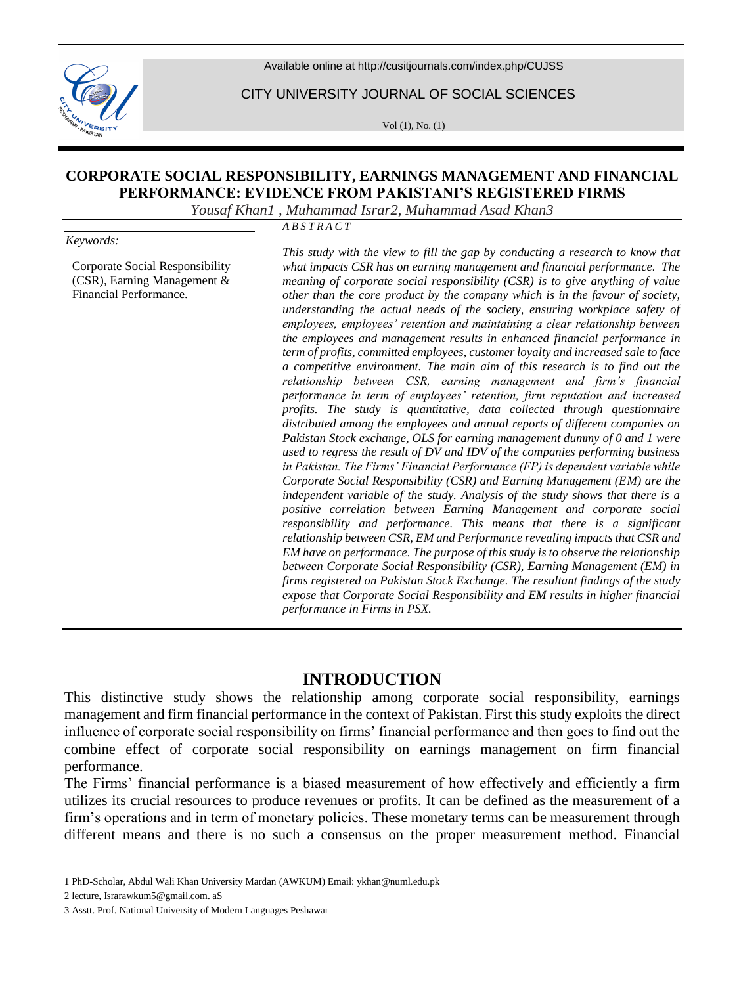Available online at <http://cusitjournals.com/index.php/CUJSS>



CITY UNIVERSITY JOURNAL OF SOCIAL SCIENCES

Vol (1), No. (1)

# **CORPORATE SOCIAL RESPONSIBILITY, EARNINGS MANAGEMENT AND FINANCIAL PERFORMANCE: EVIDENCE FROM PAKISTANI'S REGISTERED FIRMS**

*Yousaf Khan1 , Muhammad Israr2, Muhammad Asad Khan3*

*Keywords:*

Corporate Social Responsibility (CSR), Earning Management & Financial Performance.

*A B S T R A C T*

*This study with the view to fill the gap by conducting a research to know that what impacts CSR has on earning management and financial performance. The meaning of corporate social responsibility (CSR) is to give anything of value other than the core product by the company which is in the favour of society, understanding the actual needs of the society, ensuring workplace safety of employees, employees' retention and maintaining a clear relationship between the employees and management results in enhanced financial performance in term of profits, committed employees, customer loyalty and increased sale to face a competitive environment. The main aim of this research is to find out the relationship between CSR, earning management and firm's financial performance in term of employees' retention, firm reputation and increased profits. The study is quantitative, data collected through questionnaire distributed among the employees and annual reports of different companies on Pakistan Stock exchange, OLS for earning management dummy of 0 and 1 were used to regress the result of DV and IDV of the companies performing business in Pakistan. The Firms' Financial Performance (FP) is dependent variable while Corporate Social Responsibility (CSR) and Earning Management (EM) are the independent variable of the study. Analysis of the study shows that there is a positive correlation between Earning Management and corporate social responsibility and performance. This means that there is a significant relationship between CSR, EM and Performance revealing impacts that CSR and EM have on performance. The purpose of this study is to observe the relationship between Corporate Social Responsibility (CSR), Earning Management (EM) in firms registered on Pakistan Stock Exchange. The resultant findings of the study expose that Corporate Social Responsibility and EM results in higher financial performance in Firms in PSX.* 

# **INTRODUCTION**

This distinctive study shows the relationship among corporate social responsibility, earnings management and firm financial performance in the context of Pakistan. First this study exploits the direct influence of corporate social responsibility on firms' financial performance and then goes to find out the combine effect of corporate social responsibility on earnings management on firm financial performance.

The Firms' financial performance is a biased measurement of how effectively and efficiently a firm utilizes its crucial resources to produce revenues or profits. It can be defined as the measurement of a firm's operations and in term of monetary policies. These monetary terms can be measurement through different means and there is no such a consensus on the proper measurement method. Financial

<sup>1</sup> PhD-Scholar, Abdul Wali Khan University Mardan (AWKUM) Email[: ykhan@numl.edu.pk](mailto:ykhan@numl.edu.pk)

<sup>2</sup> lecture[, Israrawkum5@gmail.com.](mailto:Israrawkum5@gmail.com) aS

<sup>3</sup> Asstt. Prof. National University of Modern Languages Peshawar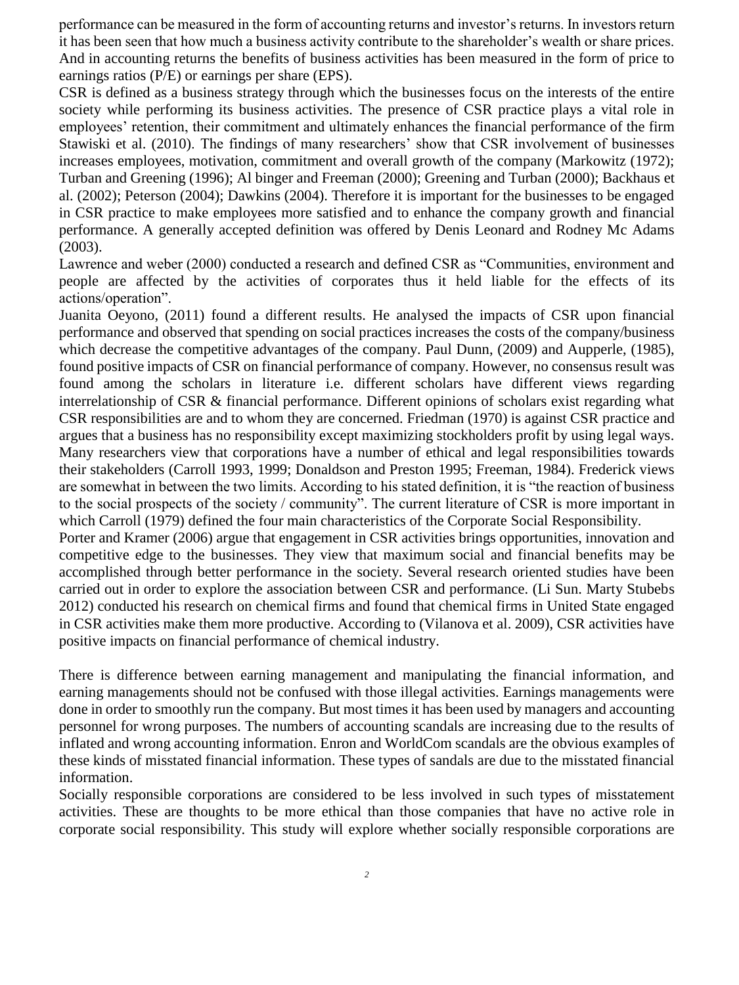performance can be measured in the form of accounting returns and investor's returns. In investors return it has been seen that how much a business activity contribute to the shareholder's wealth or share prices. And in accounting returns the benefits of business activities has been measured in the form of price to earnings ratios (P/E) or earnings per share (EPS).

CSR is defined as a business strategy through which the businesses focus on the interests of the entire society while performing its business activities. The presence of CSR practice plays a vital role in employees' retention, their commitment and ultimately enhances the financial performance of the firm Stawiski et al. (2010). The findings of many researchers' show that CSR involvement of businesses increases employees, motivation, commitment and overall growth of the company (Markowitz (1972); Turban and Greening (1996); Al binger and Freeman (2000); Greening and Turban (2000); Backhaus et al. (2002); Peterson (2004); Dawkins (2004). Therefore it is important for the businesses to be engaged in CSR practice to make employees more satisfied and to enhance the company growth and financial performance. A generally accepted definition was offered by Denis Leonard and Rodney Mc Adams (2003).

Lawrence and weber (2000) conducted a research and defined CSR as "Communities, environment and people are affected by the activities of corporates thus it held liable for the effects of its actions/operation".

Juanita Oeyono, (2011) found a different results. He analysed the impacts of CSR upon financial performance and observed that spending on social practices increases the costs of the company/business which decrease the competitive advantages of the company. Paul Dunn, (2009) and Aupperle, (1985), found positive impacts of CSR on financial performance of company. However, no consensus result was found among the scholars in literature i.e. different scholars have different views regarding interrelationship of CSR & financial performance. Different opinions of scholars exist regarding what CSR responsibilities are and to whom they are concerned. Friedman (1970) is against CSR practice and argues that a business has no responsibility except maximizing stockholders profit by using legal ways. Many researchers view that corporations have a number of ethical and legal responsibilities towards their stakeholders (Carroll 1993, 1999; Donaldson and Preston 1995; Freeman, 1984). Frederick views are somewhat in between the two limits. According to his stated definition, it is "the reaction of business to the social prospects of the society / community". The current literature of CSR is more important in which Carroll (1979) defined the four main characteristics of the Corporate Social Responsibility.

Porter and Kramer (2006) argue that engagement in CSR activities brings opportunities, innovation and competitive edge to the businesses. They view that maximum social and financial benefits may be accomplished through better performance in the society. Several research oriented studies have been carried out in order to explore the association between CSR and performance. (Li Sun. Marty Stubebs 2012) conducted his research on chemical firms and found that chemical firms in United State engaged in CSR activities make them more productive. According to (Vilanova et al. 2009), CSR activities have positive impacts on financial performance of chemical industry.

There is difference between earning management and manipulating the financial information, and earning managements should not be confused with those illegal activities. Earnings managements were done in order to smoothly run the company. But most times it has been used by managers and accounting personnel for wrong purposes. The numbers of accounting scandals are increasing due to the results of inflated and wrong accounting information. Enron and WorldCom scandals are the obvious examples of these kinds of misstated financial information. These types of sandals are due to the misstated financial information.

Socially responsible corporations are considered to be less involved in such types of misstatement activities. These are thoughts to be more ethical than those companies that have no active role in corporate social responsibility. This study will explore whether socially responsible corporations are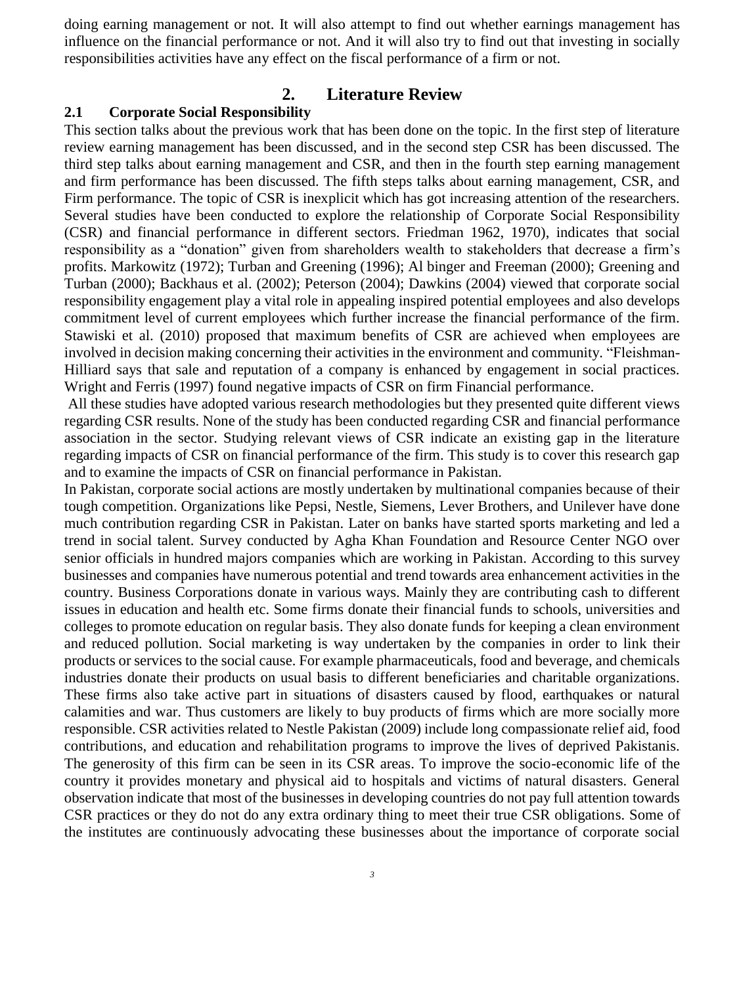doing earning management or not. It will also attempt to find out whether earnings management has influence on the financial performance or not. And it will also try to find out that investing in socially responsibilities activities have any effect on the fiscal performance of a firm or not.

# **2. Literature Review**

### **2.1 Corporate Social Responsibility**

This section talks about the previous work that has been done on the topic. In the first step of literature review earning management has been discussed, and in the second step CSR has been discussed. The third step talks about earning management and CSR, and then in the fourth step earning management and firm performance has been discussed. The fifth steps talks about earning management, CSR, and Firm performance. The topic of CSR is inexplicit which has got increasing attention of the researchers. Several studies have been conducted to explore the relationship of Corporate Social Responsibility (CSR) and financial performance in different sectors. Friedman 1962, 1970), indicates that social responsibility as a "donation" given from shareholders wealth to stakeholders that decrease a firm's profits. Markowitz (1972); Turban and Greening (1996); Al binger and Freeman (2000); Greening and Turban (2000); Backhaus et al. (2002); Peterson (2004); Dawkins (2004) viewed that corporate social responsibility engagement play a vital role in appealing inspired potential employees and also develops commitment level of current employees which further increase the financial performance of the firm. Stawiski et al. (2010) proposed that maximum benefits of CSR are achieved when employees are involved in decision making concerning their activities in the environment and community. "Fleishman-Hilliard says that sale and reputation of a company is enhanced by engagement in social practices. Wright and Ferris (1997) found negative impacts of CSR on firm Financial performance.

All these studies have adopted various research methodologies but they presented quite different views regarding CSR results. None of the study has been conducted regarding CSR and financial performance association in the sector. Studying relevant views of CSR indicate an existing gap in the literature regarding impacts of CSR on financial performance of the firm. This study is to cover this research gap and to examine the impacts of CSR on financial performance in Pakistan.

In Pakistan, corporate social actions are mostly undertaken by multinational companies because of their tough competition. Organizations like Pepsi, Nestle, Siemens, Lever Brothers, and Unilever have done much contribution regarding CSR in Pakistan. Later on banks have started sports marketing and led a trend in social talent. Survey conducted by Agha Khan Foundation and Resource Center NGO over senior officials in hundred majors companies which are working in Pakistan. According to this survey businesses and companies have numerous potential and trend towards area enhancement activities in the country. Business Corporations donate in various ways. Mainly they are contributing cash to different issues in education and health etc. Some firms donate their financial funds to schools, universities and colleges to promote education on regular basis. They also donate funds for keeping a clean environment and reduced pollution. Social marketing is way undertaken by the companies in order to link their products or services to the social cause. For example pharmaceuticals, food and beverage, and chemicals industries donate their products on usual basis to different beneficiaries and charitable organizations. These firms also take active part in situations of disasters caused by flood, earthquakes or natural calamities and war. Thus customers are likely to buy products of firms which are more socially more responsible. CSR activities related to Nestle Pakistan (2009) include long compassionate relief aid, food contributions, and education and rehabilitation programs to improve the lives of deprived Pakistanis. The generosity of this firm can be seen in its CSR areas. To improve the socio-economic life of the country it provides monetary and physical aid to hospitals and victims of natural disasters. General observation indicate that most of the businesses in developing countries do not pay full attention towards CSR practices or they do not do any extra ordinary thing to meet their true CSR obligations. Some of the institutes are continuously advocating these businesses about the importance of corporate social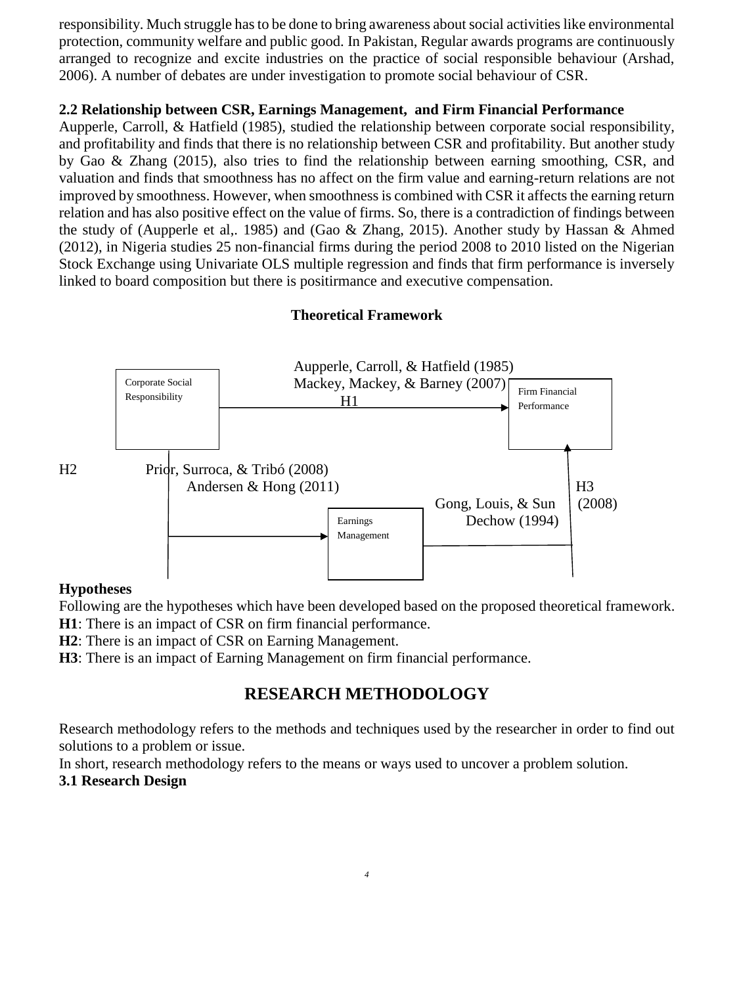responsibility. Much struggle has to be done to bring awareness about social activities like environmental protection, community welfare and public good. In Pakistan, Regular awards programs are continuously arranged to recognize and excite industries on the practice of social responsible behaviour (Arshad, 2006). A number of debates are under investigation to promote social behaviour of CSR.

# **2.2 Relationship between CSR, Earnings Management, and Firm Financial Performance**

Aupperle, Carroll, & Hatfield (1985), studied the relationship between corporate social responsibility, and profitability and finds that there is no relationship between CSR and profitability. But another study by Gao & Zhang (2015), also tries to find the relationship between earning smoothing, CSR, and valuation and finds that smoothness has no affect on the firm value and earning-return relations are not improved by smoothness. However, when smoothness is combined with CSR it affects the earning return relation and has also positive effect on the value of firms. So, there is a contradiction of findings between the study of (Aupperle et al,. 1985) and (Gao & Zhang, 2015). Another study by Hassan & Ahmed (2012), in Nigeria studies 25 non-financial firms during the period 2008 to 2010 listed on the Nigerian Stock Exchange using Univariate OLS multiple regression and finds that firm performance is inversely linked to board composition but there is positirmance and executive compensation.

# **Theoretical Framework**



# **Hypotheses**

Following are the hypotheses which have been developed based on the proposed theoretical framework.

**H1**: There is an impact of CSR on firm financial performance.

**H2**: There is an impact of CSR on Earning Management.

**H3**: There is an impact of Earning Management on firm financial performance.

# **RESEARCH METHODOLOGY**

Research methodology refers to the methods and techniques used by the researcher in order to find out solutions to a problem or issue.

In short, research methodology refers to the means or ways used to uncover a problem solution.

# **3.1 Research Design**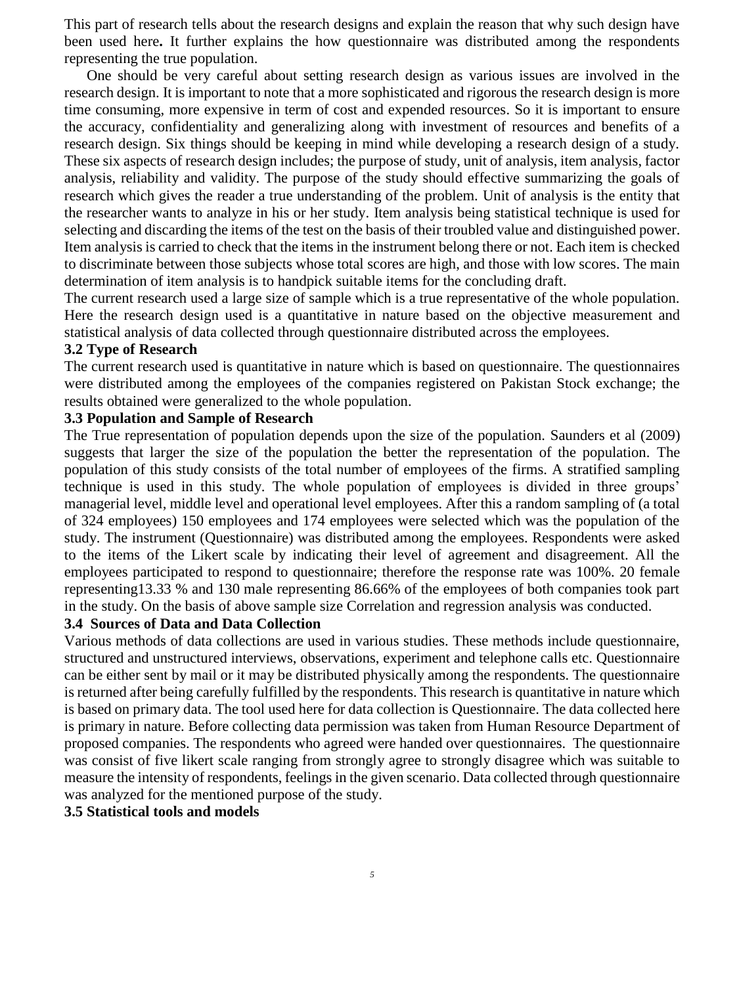This part of research tells about the research designs and explain the reason that why such design have been used here**.** It further explains the how questionnaire was distributed among the respondents representing the true population.

 One should be very careful about setting research design as various issues are involved in the research design. It is important to note that a more sophisticated and rigorous the research design is more time consuming, more expensive in term of cost and expended resources. So it is important to ensure the accuracy, confidentiality and generalizing along with investment of resources and benefits of a research design. Six things should be keeping in mind while developing a research design of a study. These six aspects of research design includes; the purpose of study, unit of analysis, item analysis, factor analysis, reliability and validity. The purpose of the study should effective summarizing the goals of research which gives the reader a true understanding of the problem. Unit of analysis is the entity that the researcher wants to analyze in his or her study. Item analysis being statistical technique is used for selecting and discarding the items of the test on the basis of their troubled value and distinguished power. Item analysis is carried to check that the items in the instrument belong there or not. Each item is checked to discriminate between those subjects whose total scores are high, and those with low scores. The main determination of item analysis is to handpick suitable items for the concluding draft.

The current research used a large size of sample which is a true representative of the whole population. Here the research design used is a quantitative in nature based on the objective measurement and statistical analysis of data collected through questionnaire distributed across the employees.

### **3.2 Type of Research**

The current research used is quantitative in nature which is based on questionnaire. The questionnaires were distributed among the employees of the companies registered on Pakistan Stock exchange; the results obtained were generalized to the whole population.

### **3.3 Population and Sample of Research**

The True representation of population depends upon the size of the population. Saunders et al (2009) suggests that larger the size of the population the better the representation of the population. The population of this study consists of the total number of employees of the firms. A stratified sampling technique is used in this study. The whole population of employees is divided in three groups' managerial level, middle level and operational level employees. After this a random sampling of (a total of 324 employees) 150 employees and 174 employees were selected which was the population of the study. The instrument (Questionnaire) was distributed among the employees. Respondents were asked to the items of the Likert scale by indicating their level of agreement and disagreement. All the employees participated to respond to questionnaire; therefore the response rate was 100%. 20 female representing13.33 % and 130 male representing 86.66% of the employees of both companies took part in the study. On the basis of above sample size Correlation and regression analysis was conducted.

### **3.4 Sources of Data and Data Collection**

Various methods of data collections are used in various studies. These methods include questionnaire, structured and unstructured interviews, observations, experiment and telephone calls etc. Questionnaire can be either sent by mail or it may be distributed physically among the respondents. The questionnaire is returned after being carefully fulfilled by the respondents. This research is quantitative in nature which is based on primary data. The tool used here for data collection is Questionnaire. The data collected here is primary in nature. Before collecting data permission was taken from Human Resource Department of proposed companies. The respondents who agreed were handed over questionnaires. The questionnaire was consist of five likert scale ranging from strongly agree to strongly disagree which was suitable to measure the intensity of respondents, feelings in the given scenario. Data collected through questionnaire was analyzed for the mentioned purpose of the study.

### **3.5 Statistical tools and models**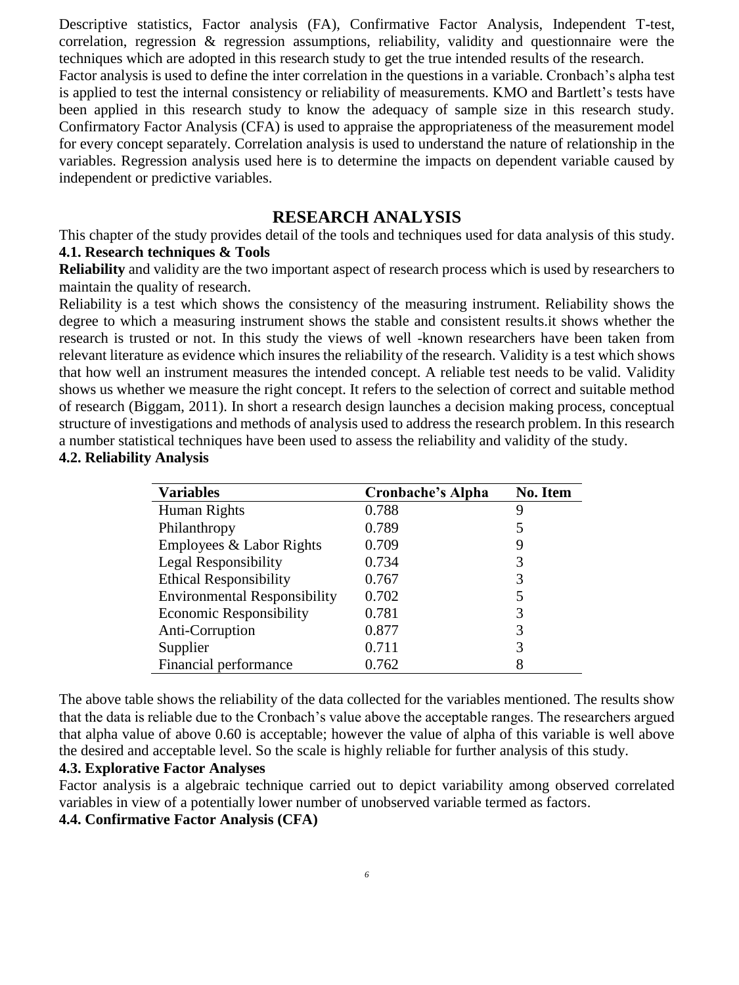Descriptive statistics, Factor analysis (FA), Confirmative Factor Analysis, Independent T-test, correlation, regression & regression assumptions, reliability, validity and questionnaire were the techniques which are adopted in this research study to get the true intended results of the research. Factor analysis is used to define the inter correlation in the questions in a variable. Cronbach's alpha test is applied to test the internal consistency or reliability of measurements. KMO and Bartlett's tests have been applied in this research study to know the adequacy of sample size in this research study. Confirmatory Factor Analysis (CFA) is used to appraise the appropriateness of the measurement model for every concept separately. Correlation analysis is used to understand the nature of relationship in the variables. Regression analysis used here is to determine the impacts on dependent variable caused by independent or predictive variables.

# **RESEARCH ANALYSIS**

This chapter of the study provides detail of the tools and techniques used for data analysis of this study. **4.1. Research techniques & Tools**

**Reliability** and validity are the two important aspect of research process which is used by researchers to maintain the quality of research.

Reliability is a test which shows the consistency of the measuring instrument. Reliability shows the degree to which a measuring instrument shows the stable and consistent results.it shows whether the research is trusted or not. In this study the views of well -known researchers have been taken from relevant literature as evidence which insures the reliability of the research. Validity is a test which shows that how well an instrument measures the intended concept. A reliable test needs to be valid. Validity shows us whether we measure the right concept. It refers to the selection of correct and suitable method of research (Biggam, 2011). In short a research design launches a decision making process, conceptual structure of investigations and methods of analysis used to address the research problem. In this research a number statistical techniques have been used to assess the reliability and validity of the study.

### **4.2. Reliability Analysis**

| <b>Variables</b>                    | <b>Cronbache's Alpha</b> | <b>No. Item</b> |
|-------------------------------------|--------------------------|-----------------|
| Human Rights                        | 0.788                    | 9               |
| Philanthropy                        | 0.789                    | 5               |
| Employees & Labor Rights            | 0.709                    | 9               |
| <b>Legal Responsibility</b>         | 0.734                    | 3               |
| <b>Ethical Responsibility</b>       | 0.767                    | 3               |
| <b>Environmental Responsibility</b> | 0.702                    | 5               |
| <b>Economic Responsibility</b>      | 0.781                    | 3               |
| Anti-Corruption                     | 0.877                    | 3               |
| Supplier                            | 0.711                    | 3               |
| Financial performance               | 0.762                    | 8               |

The above table shows the reliability of the data collected for the variables mentioned. The results show that the data is reliable due to the Cronbach's value above the acceptable ranges. The researchers argued that alpha value of above 0.60 is acceptable; however the value of alpha of this variable is well above the desired and acceptable level. So the scale is highly reliable for further analysis of this study.

### **4.3. Explorative Factor Analyses**

Factor analysis is a algebraic technique carried out to depict variability among observed correlated variables in view of a potentially lower number of unobserved variable termed as factors.

**4.4. Confirmative Factor Analysis (CFA)**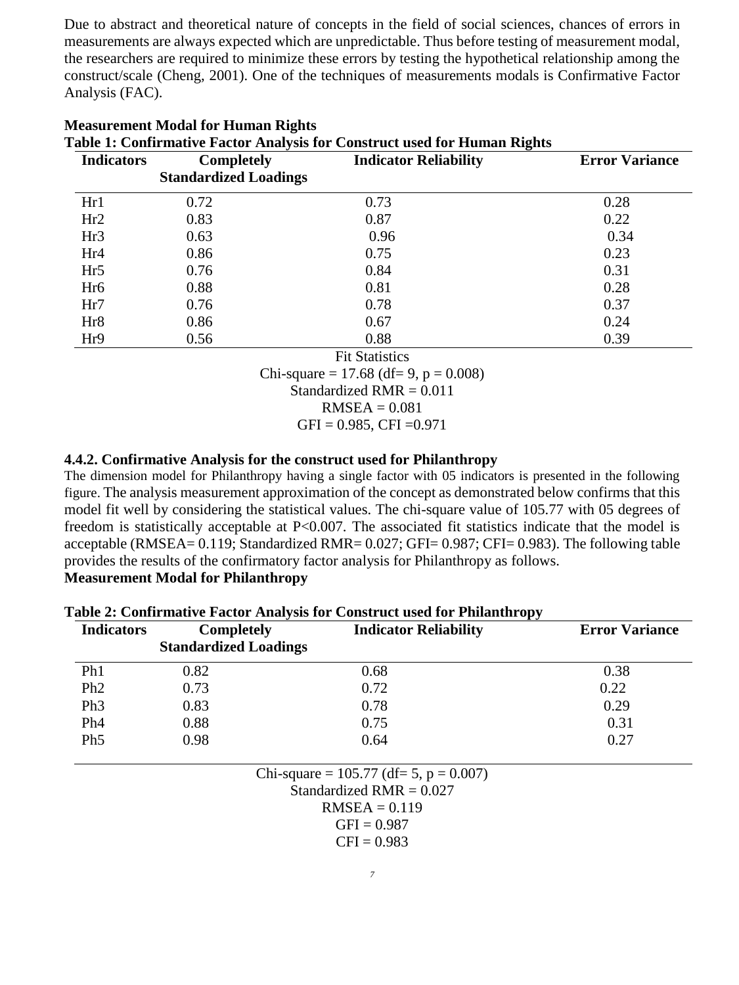Due to abstract and theoretical nature of concepts in the field of social sciences, chances of errors in measurements are always expected which are unpredictable. Thus before testing of measurement modal, the researchers are required to minimize these errors by testing the hypothetical relationship among the construct/scale (Cheng, 2001). One of the techniques of measurements modals is Confirmative Factor Analysis (FAC).

| Table 1: Confirmative Factor Analysis for Construct used for Human Rights |                              |                              |                       |
|---------------------------------------------------------------------------|------------------------------|------------------------------|-----------------------|
| <b>Indicators</b>                                                         | <b>Completely</b>            | <b>Indicator Reliability</b> | <b>Error Variance</b> |
|                                                                           | <b>Standardized Loadings</b> |                              |                       |
| Hr1                                                                       | 0.72                         | 0.73                         | 0.28                  |
| Hr2                                                                       | 0.83                         | 0.87                         | 0.22                  |
| Hr <sub>3</sub>                                                           | 0.63                         | 0.96                         | 0.34                  |
| Hr <sub>4</sub>                                                           | 0.86                         | 0.75                         | 0.23                  |
| Hr5                                                                       | 0.76                         | 0.84                         | 0.31                  |
| Hr <sub>6</sub>                                                           | 0.88                         | 0.81                         | 0.28                  |
| Hr7                                                                       | 0.76                         | 0.78                         | 0.37                  |
| Hr <sub>8</sub>                                                           | 0.86                         | 0.67                         | 0.24                  |
| Hr9                                                                       | 0.56                         | 0.88                         | 0.39                  |
|                                                                           |                              | <b>Fit Statistics</b>        |                       |
|                                                                           |                              | -----                        |                       |

# **Measurement Modal for Human Rights**

Chi-square =  $17.68$  (df= 9, p = 0.008)

Standardized RMR = 0.011

 $RMSEA = 0.081$ 

 $GFI = 0.985, CFI = 0.971$ 

# **4.4.2. Confirmative Analysis for the construct used for Philanthropy**

The dimension model for Philanthropy having a single factor with 05 indicators is presented in the following figure. The analysis measurement approximation of the concept as demonstrated below confirms that this model fit well by considering the statistical values. The chi-square value of 105.77 with 05 degrees of freedom is statistically acceptable at P<0.007. The associated fit statistics indicate that the model is acceptable (RMSEA= 0.119; Standardized RMR= 0.027; GFI= 0.987; CFI= 0.983). The following table provides the results of the confirmatory factor analysis for Philanthropy as follows. **Measurement Modal for Philanthropy**

| <b>Completely</b> | <b>Indicator Reliability</b> | <b>Error Variance</b> |
|-------------------|------------------------------|-----------------------|
|                   |                              |                       |
| 0.82              | 0.68                         | 0.38                  |
| 0.73              | 0.72                         | 0.22                  |
| 0.83              | 0.78                         | 0.29                  |
| 0.88              | 0.75                         | 0.31                  |
| 0.98              | 0.64                         | 0.27                  |
|                   | <b>Standardized Loadings</b> |                       |

| Table 2: Confirmative Factor Analysis for Construct used for Philanthropy |  |  |
|---------------------------------------------------------------------------|--|--|
|                                                                           |  |  |

Chi-square =  $105.77$  (df= 5, p = 0.007) Standardized  $RMR = 0.027$  $RMSEA = 0.119$  $GFI = 0.987$ 

 $CFI = 0.983$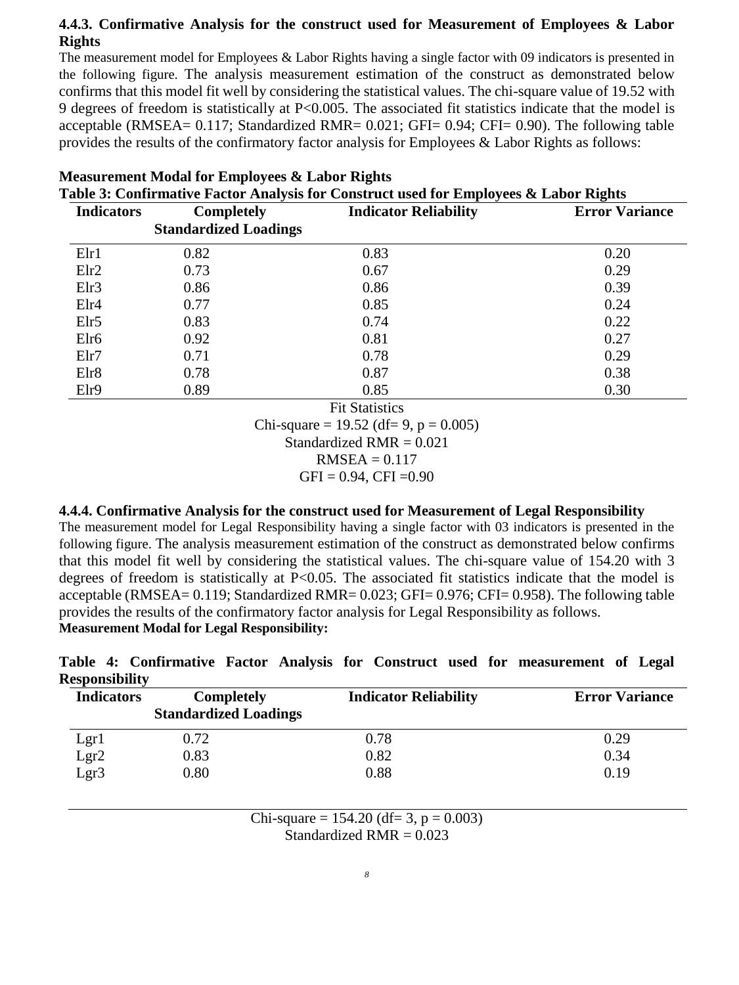# **4.4.3. Confirmative Analysis for the construct used for Measurement of Employees & Labor Rights**

The measurement model for Employees & Labor Rights having a single factor with 09 indicators is presented in the following figure. The analysis measurement estimation of the construct as demonstrated below confirms that this model fit well by considering the statistical values. The chi-square value of 19.52 with 9 degrees of freedom is statistically at P<0.005. The associated fit statistics indicate that the model is acceptable (RMSEA= 0.117; Standardized RMR= 0.021; GFI= 0.94; CFI= 0.90). The following table provides the results of the confirmatory factor analysis for Employees & Labor Rights as follows:

| <b>Indicators</b> | <b>Completely</b>            | <b>Indicator Reliability</b> | <b>Error Variance</b> |
|-------------------|------------------------------|------------------------------|-----------------------|
|                   | <b>Standardized Loadings</b> |                              |                       |
| E1r1              | 0.82                         | 0.83                         | 0.20                  |
| E1r2              | 0.73                         | 0.67                         | 0.29                  |
| Elr3              | 0.86                         | 0.86                         | 0.39                  |
| E1r4              | 0.77                         | 0.85                         | 0.24                  |
| EIr5              | 0.83                         | 0.74                         | 0.22                  |
| Elr <sub>6</sub>  | 0.92                         | 0.81                         | 0.27                  |
| Elr7              | 0.71                         | 0.78                         | 0.29                  |
| Elr8              | 0.78                         | 0.87                         | 0.38                  |
| Elr9              | 0.89                         | 0.85                         | 0.30                  |
|                   |                              | <b>Fit Statistics</b>        |                       |

# **Measurement Modal for Employees & Labor Rights**

 $are = 19.52$  (df= 9, p = 0.005)

Standardized  $RMR = 0.021$ 

 $RMSEA = 0.117$ 

 $GFI = 0.94$ ,  $CFI = 0.90$ 

# **4.4.4. Confirmative Analysis for the construct used for Measurement of Legal Responsibility**

The measurement model for Legal Responsibility having a single factor with 03 indicators is presented in the following figure. The analysis measurement estimation of the construct as demonstrated below confirms that this model fit well by considering the statistical values. The chi-square value of 154.20 with 3 degrees of freedom is statistically at  $P<0.05$ . The associated fit statistics indicate that the model is acceptable (RMSEA= 0.119; Standardized RMR= 0.023; GFI= 0.976; CFI= 0.958). The following table provides the results of the confirmatory factor analysis for Legal Responsibility as follows. **Measurement Modal for Legal Responsibility:**

**Table 4: Confirmative Factor Analysis for Construct used for measurement of Legal Responsibility**

| <b>Indicators</b> | <b>Completely</b><br><b>Standardized Loadings</b> | <b>Indicator Reliability</b> | <b>Error Variance</b> |
|-------------------|---------------------------------------------------|------------------------------|-----------------------|
| Lgr1              | 0.72                                              | 0.78                         | 0.29                  |
|                   | 0.83                                              | 0.82                         | 0.34                  |
| Lgr2<br>Lgr3      | 0.80                                              | 0.88                         | 0.19                  |

Chi-square =  $154.20$  (df= 3, p = 0.003) Standardized  $RMR = 0.023$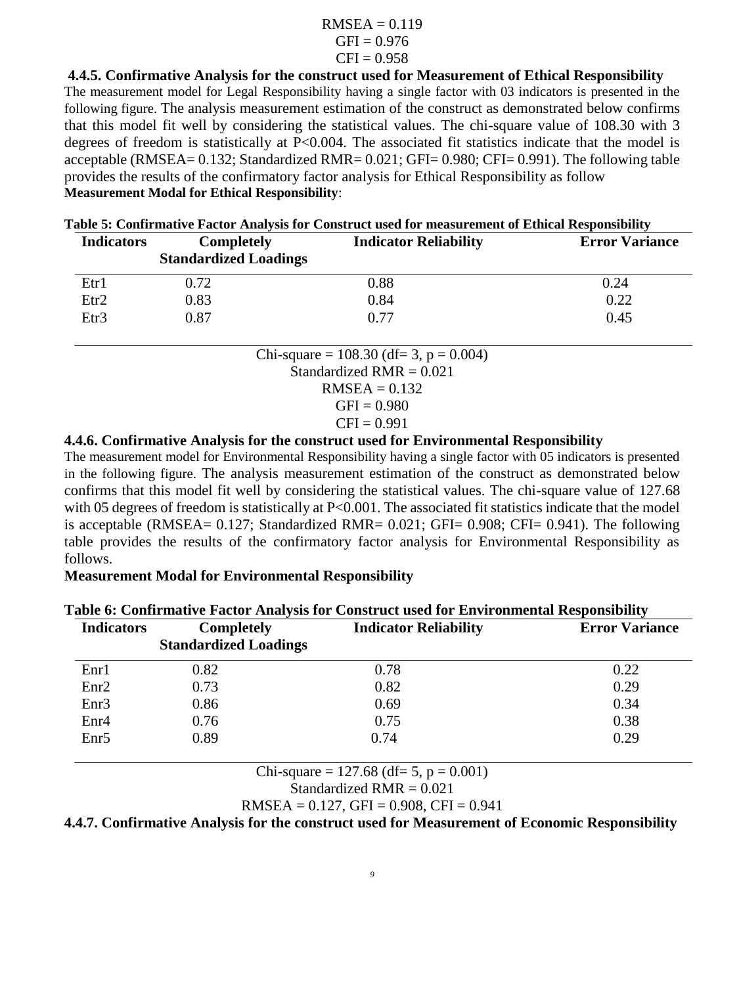### $RMSEA = 0.119$  $GFI = 0.976$  $CFI = 0.958$

**4.4.5. Confirmative Analysis for the construct used for Measurement of Ethical Responsibility** The measurement model for Legal Responsibility having a single factor with 03 indicators is presented in the following figure. The analysis measurement estimation of the construct as demonstrated below confirms that this model fit well by considering the statistical values. The chi-square value of 108.30 with 3 degrees of freedom is statistically at P<0.004. The associated fit statistics indicate that the model is acceptable (RMSEA= 0.132; Standardized RMR= 0.021; GFI= 0.980; CFI= 0.991). The following table provides the results of the confirmatory factor analysis for Ethical Responsibility as follow **Measurement Modal for Ethical Responsibility**:

| <b>Indicators</b> | <b>Completely</b><br><b>Standardized Loadings</b> | <b>Indicator Reliability</b> | <b>Error Variance</b> |
|-------------------|---------------------------------------------------|------------------------------|-----------------------|
| Etr1              | 0.72                                              | 0.88                         | 0.24                  |
| Etr <sub>2</sub>  | 0.83                                              | 0.84                         | 0.22                  |
| Etr3              | 0.87                                              | 0.77                         | 0.45                  |

| Table 5: Confirmative Factor Analysis for Construct used for measurement of Ethical Responsibility |  |
|----------------------------------------------------------------------------------------------------|--|
|                                                                                                    |  |

Chi-square =  $108.30$  (df= 3, p = 0.004) Standardized RMR  $= 0.021$  $RMSEA = 0.132$  $GFI = 0.980$ 

$$
CFI = 0.991
$$

# **4.4.6. Confirmative Analysis for the construct used for Environmental Responsibility**

The measurement model for Environmental Responsibility having a single factor with 05 indicators is presented in the following figure. The analysis measurement estimation of the construct as demonstrated below confirms that this model fit well by considering the statistical values. The chi-square value of 127.68 with 05 degrees of freedom is statistically at P<0.001. The associated fit statistics indicate that the model is acceptable (RMSEA= 0.127; Standardized RMR= 0.021; GFI= 0.908; CFI= 0.941). The following table provides the results of the confirmatory factor analysis for Environmental Responsibility as follows.

# **Measurement Modal for Environmental Responsibility**

| Table 6: Confirmative Factor Analysis for Construct used for Environmental Responsibility |                              |                              |                       |
|-------------------------------------------------------------------------------------------|------------------------------|------------------------------|-----------------------|
| <b>Indicators</b>                                                                         | <b>Completely</b>            | <b>Indicator Reliability</b> | <b>Error Variance</b> |
|                                                                                           | <b>Standardized Loadings</b> |                              |                       |
| Enr1                                                                                      | 0.82                         | 0.78                         | 0.22                  |
| Enr2                                                                                      | 0.73                         | 0.82                         | 0.29                  |
| Enr3                                                                                      | 0.86                         | 0.69                         | 0.34                  |
| Enr4                                                                                      | 0.76                         | 0.75                         | 0.38                  |
| Enr <sub>5</sub>                                                                          | 0.89                         | 0.74                         | 0.29                  |

# **Table 6: Confirmative Factor Analysis for Construct used for Environmental Responsibility**

Chi-square =  $127.68$  (df= 5, p = 0.001)

Standardized RMR 
$$
= 0.021
$$

RMSEA = 
$$
0.127
$$
, GFI =  $0.908$ , CFI =  $0.941$ 

**4.4.7. Confirmative Analysis for the construct used for Measurement of Economic Responsibility**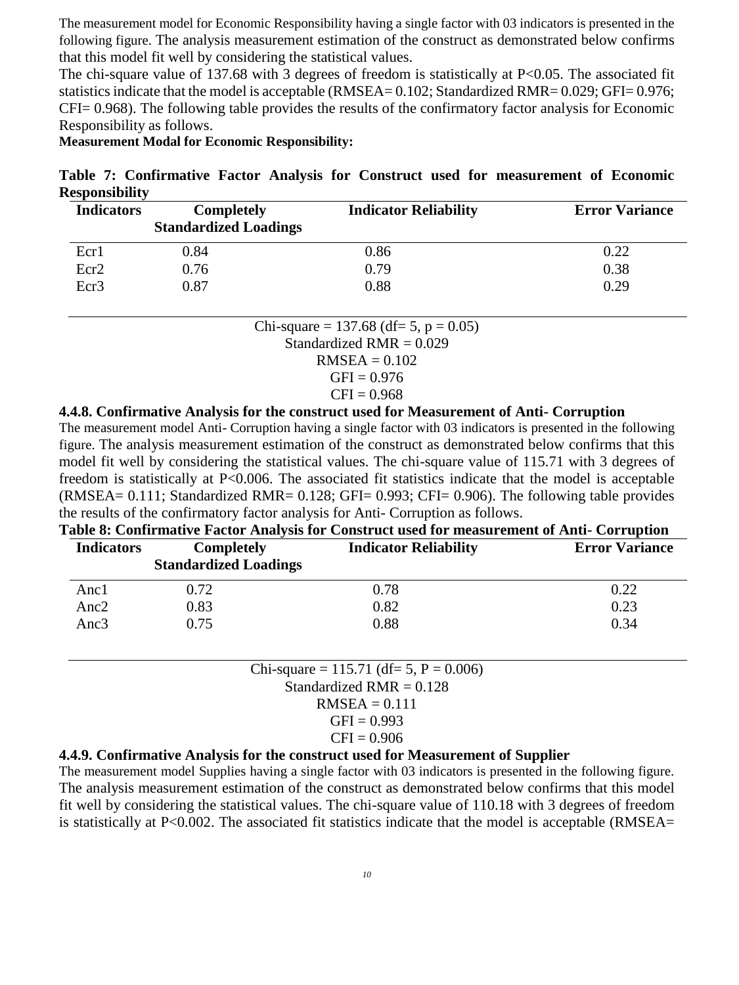The measurement model for Economic Responsibility having a single factor with 03 indicators is presented in the following figure. The analysis measurement estimation of the construct as demonstrated below confirms that this model fit well by considering the statistical values.

The chi-square value of 137.68 with 3 degrees of freedom is statistically at  $P<0.05$ . The associated fit statistics indicate that the model is acceptable (RMSEA= 0.102; Standardized RMR= 0.029; GFI= 0.976; CFI= 0.968). The following table provides the results of the confirmatory factor analysis for Economic Responsibility as follows.

**Measurement Modal for Economic Responsibility:**

**Table 7: Confirmative Factor Analysis for Construct used for measurement of Economic Responsibility**

| <b>Indicators</b> | <b>Completely</b><br><b>Standardized Loadings</b> | <b>Indicator Reliability</b> | <b>Error Variance</b> |
|-------------------|---------------------------------------------------|------------------------------|-----------------------|
| Ecr1              | 0.84                                              | 0.86                         | 0.22                  |
| Ecr <sub>2</sub>  | 0.76                                              | 0.79                         | 0.38                  |
| Ecr3              | 0.87                                              | 0.88                         | 0.29                  |

Chi-square =  $137.68$  (df= 5, p = 0.05) Standardized  $RMR = 0.029$ 

 $RMSEA = 0.102$  $CFT - 0.976$ 

$$
CFI = 0.976
$$
  
CFI = 0.968

### **4.4.8. Confirmative Analysis for the construct used for Measurement of Anti- Corruption**

The measurement model Anti- Corruption having a single factor with 03 indicators is presented in the following figure. The analysis measurement estimation of the construct as demonstrated below confirms that this model fit well by considering the statistical values. The chi-square value of 115.71 with 3 degrees of freedom is statistically at P<0.006. The associated fit statistics indicate that the model is acceptable (RMSEA= 0.111; Standardized RMR= 0.128; GFI= 0.993; CFI= 0.906). The following table provides the results of the confirmatory factor analysis for Anti- Corruption as follows.

| Table 8: Confirmative Factor Analysis for Construct used for measurement of Anti- Corruption |                                                   |                              |                       |
|----------------------------------------------------------------------------------------------|---------------------------------------------------|------------------------------|-----------------------|
| <b>Indicators</b>                                                                            | <b>Completely</b><br><b>Standardized Loadings</b> | <b>Indicator Reliability</b> | <b>Error Variance</b> |
| Anc1                                                                                         | 0.72                                              | 0.78                         | 0.22                  |
| Anc <sub>2</sub>                                                                             | 0.83                                              | 0.82                         | 0.23                  |
| Anc $3$                                                                                      | 0.75                                              | 0.88                         | 0.34                  |

Chi-square = 
$$
115.71
$$
 (df = 5, P = 0.006)

\nStandardized RMR = 0.128

\nRMSEA = 0.111

\nGFI = 0.993

\nCFI = 0.906

### **4.4.9. Confirmative Analysis for the construct used for Measurement of Supplier**

The measurement model Supplies having a single factor with 03 indicators is presented in the following figure. The analysis measurement estimation of the construct as demonstrated below confirms that this model fit well by considering the statistical values. The chi-square value of 110.18 with 3 degrees of freedom is statistically at P<0.002. The associated fit statistics indicate that the model is acceptable (RMSEA=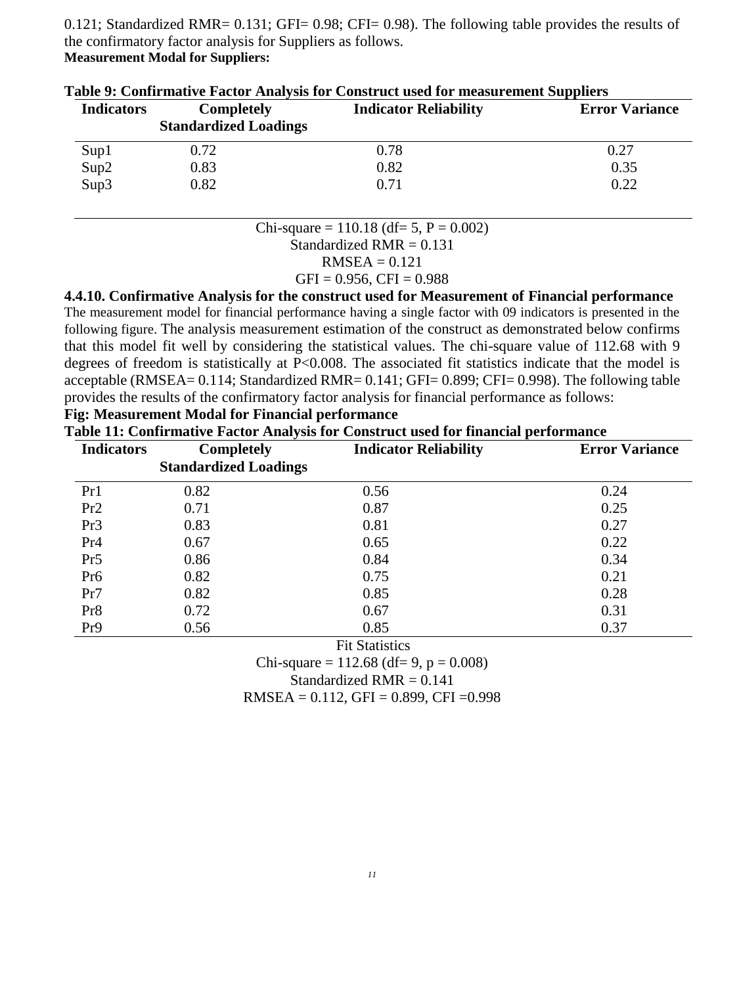0.121; Standardized RMR= 0.131; GFI= 0.98; CFI= 0.98). The following table provides the results of the confirmatory factor analysis for Suppliers as follows. **Measurement Modal for Suppliers:**

| <b>Indicators</b> | <b>Completely</b><br><b>Standardized Loadings</b> | <b>Indicator Reliability</b> | <b>Error Variance</b> |
|-------------------|---------------------------------------------------|------------------------------|-----------------------|
| Sup1              | 0.72                                              | 0.78                         | 0.27                  |
| Sup2              | 0.83                                              | 0.82                         | 0.35                  |
| Sup3              | 0.82                                              | 0.71                         | 0.22                  |

| Table 9: Confirmative Factor Analysis for Construct used for measurement Suppliers |  |  |  |
|------------------------------------------------------------------------------------|--|--|--|
|                                                                                    |  |  |  |

Chi-square =  $110.18$  (df= 5, P = 0.002)

Standardized RMR = 0.131

 $RMSEA = 0.121$ 

 $GFI = 0.956, CFI = 0.988$ 

**4.4.10. Confirmative Analysis for the construct used for Measurement of Financial performance**

The measurement model for financial performance having a single factor with 09 indicators is presented in the following figure. The analysis measurement estimation of the construct as demonstrated below confirms that this model fit well by considering the statistical values. The chi-square value of 112.68 with 9 degrees of freedom is statistically at P<0.008. The associated fit statistics indicate that the model is acceptable (RMSEA= 0.114; Standardized RMR= 0.141; GFI= 0.899; CFI= 0.998). The following table provides the results of the confirmatory factor analysis for financial performance as follows:

# **Fig: Measurement Modal for Financial performance**

**Table 11: Confirmative Factor Analysis for Construct used for financial performance**

| <b>Indicators</b> | <b>Completely</b>            | <b>Indicator Reliability</b> | <b>Error Variance</b> |
|-------------------|------------------------------|------------------------------|-----------------------|
|                   | <b>Standardized Loadings</b> |                              |                       |
| Pr1               | 0.82                         | 0.56                         | 0.24                  |
| Pr2               | 0.71                         | 0.87                         | 0.25                  |
| Pr <sub>3</sub>   | 0.83                         | 0.81                         | 0.27                  |
| Pr <sub>4</sub>   | 0.67                         | 0.65                         | 0.22                  |
| Pr <sub>5</sub>   | 0.86                         | 0.84                         | 0.34                  |
| Pr <sub>6</sub>   | 0.82                         | 0.75                         | 0.21                  |
| Pr7               | 0.82                         | 0.85                         | 0.28                  |
| Pr8               | 0.72                         | 0.67                         | 0.31                  |
| Pr <sub>9</sub>   | 0.56                         | 0.85                         | 0.37                  |

**Fit Statistics** 

Chi-square =  $112.68$  (df= 9, p = 0.008) Standardized  $RMR = 0.141$ 

 $RMSEA = 0.112$ , GFI = 0.899, CFI = 0.998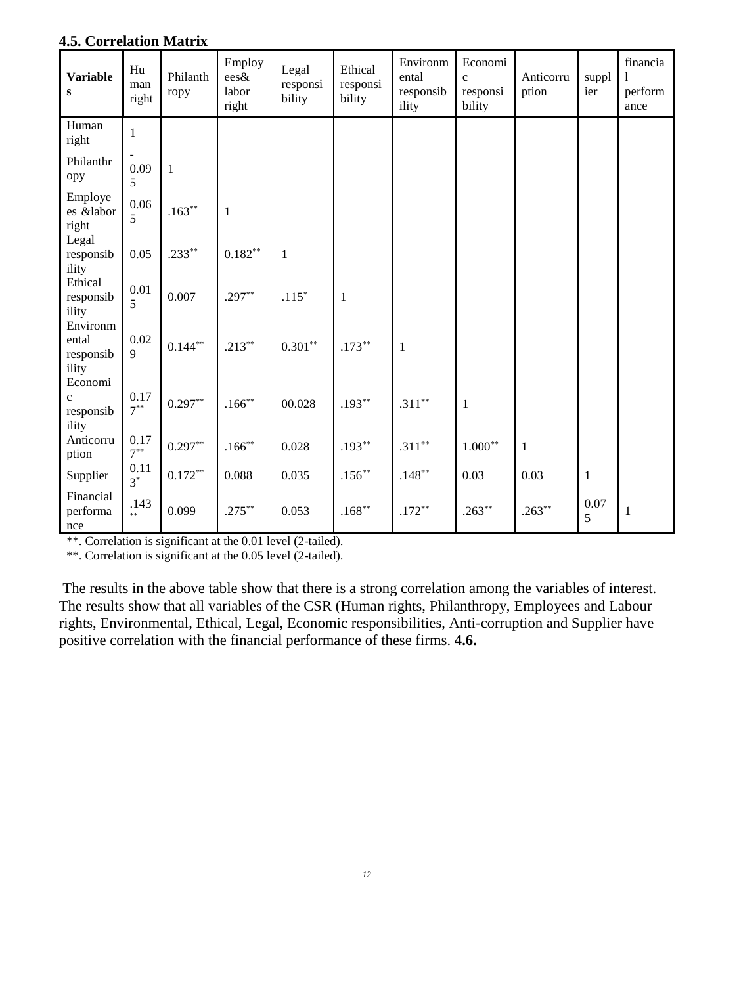| <b>Variable</b><br>${\bf S}$                  | Hu<br>man<br>right | Philanth<br>ropy | Employ<br>ees&<br>labor<br>right | Legal<br>responsi<br>bility | Ethical<br>responsi<br>bility | Environm<br>ental<br>responsib<br>ility | Economi<br>$\mathbf{c}$<br>responsi<br>bility | Anticorru<br>ption | suppl<br>ier | financia<br>perform<br>ance |
|-----------------------------------------------|--------------------|------------------|----------------------------------|-----------------------------|-------------------------------|-----------------------------------------|-----------------------------------------------|--------------------|--------------|-----------------------------|
| Human<br>right                                | $\mathbf{1}$       |                  |                                  |                             |                               |                                         |                                               |                    |              |                             |
| Philanthr<br>opy                              | 0.09<br>5          | $\mathbf{1}$     |                                  |                             |                               |                                         |                                               |                    |              |                             |
| Employe<br>es &labor<br>right                 | 0.06<br>5          | $.163**$         | $\mathbf{1}$                     |                             |                               |                                         |                                               |                    |              |                             |
| Legal<br>responsib<br>ility                   | 0.05               | $.233***$        | $0.182^{\ast\ast}$               | $\mathbf{1}$                |                               |                                         |                                               |                    |              |                             |
| Ethical<br>responsib<br>ility                 | 0.01<br>5          | 0.007            | $.297**$                         | $.115^{\ast}$               | $\mathbf{1}$                  |                                         |                                               |                    |              |                             |
| Environm<br>ental<br>responsib<br>ility       | 0.02<br>9          | $0.144***$       | $.213***$                        | $0.301^{\ast\ast}$          | $.173***$                     | $\mathbf{1}$                            |                                               |                    |              |                             |
| Economi<br>$\mathbf{c}$<br>responsib<br>ility | 0.17<br>$7^{**}$   | $0.297**$        | $.166***$                        | 00.028                      | $.193**$                      | $.311**$                                | $\mathbf{1}$                                  |                    |              |                             |
| Anticorru<br>ption                            | 0.17<br>$7^{**}$   | $0.297**$        | $.166***$                        | 0.028                       | $.193**$                      | $.311**$                                | $1.000^{\ast\ast}$                            | $\mathbf{1}$       |              |                             |
| Supplier                                      | 0.11<br>$3^*$      | $0.172***$       | 0.088                            | 0.035                       | $.156***$                     | $.148***$                               | 0.03                                          | 0.03               | $\mathbf{1}$ |                             |
| Financial<br>performa<br>nce                  | .143<br>**         | 0.099            | $.275***$                        | 0.053                       | $.168***$                     | $.172**$                                | $.263**$                                      | $.263**$           | 0.07<br>5    | $\mathbf{1}$                |

### **4.5. Correlation Matrix**

\*\*. Correlation is significant at the 0.01 level (2-tailed).

\*\*. Correlation is significant at the 0.05 level (2-tailed).

The results in the above table show that there is a strong correlation among the variables of interest. The results show that all variables of the CSR (Human rights, Philanthropy, Employees and Labour rights, Environmental, Ethical, Legal, Economic responsibilities, Anti-corruption and Supplier have positive correlation with the financial performance of these firms. **4.6.**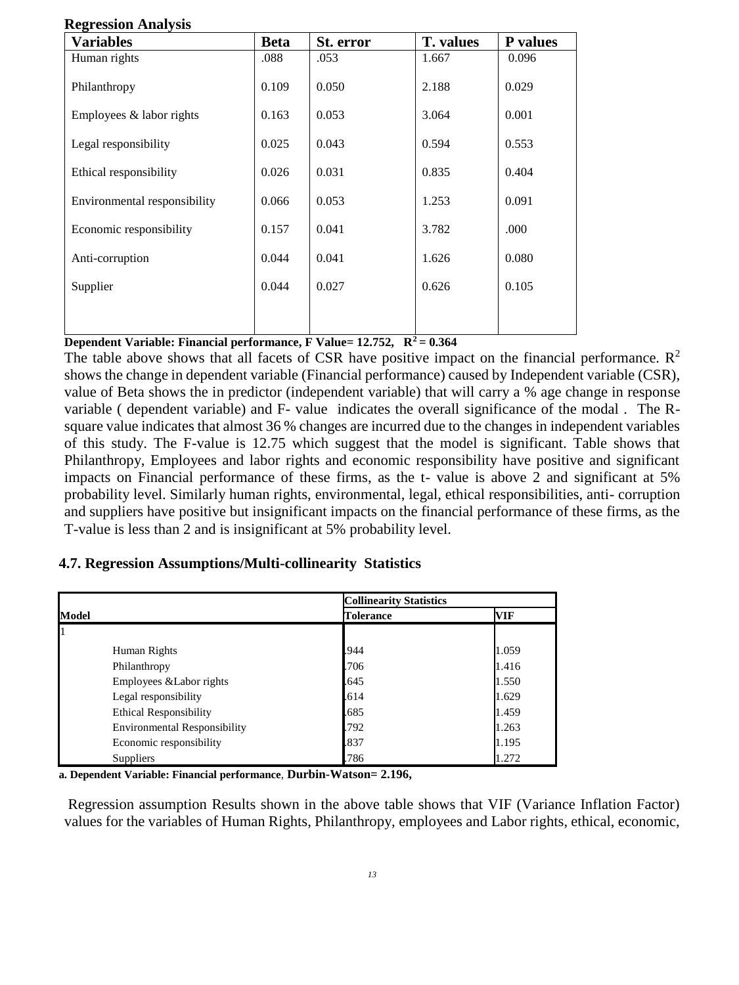| <b>Variables</b>             | <b>Beta</b> | St. error | <b>T.</b> values | P values |
|------------------------------|-------------|-----------|------------------|----------|
| Human rights                 | .088        | .053      | 1.667            | 0.096    |
| Philanthropy                 | 0.109       | 0.050     | 2.188            | 0.029    |
| Employees $&$ labor rights   | 0.163       | 0.053     | 3.064            | 0.001    |
| Legal responsibility         | 0.025       | 0.043     | 0.594            | 0.553    |
| Ethical responsibility       | 0.026       | 0.031     | 0.835            | 0.404    |
| Environmental responsibility | 0.066       | 0.053     | 1.253            | 0.091    |
| Economic responsibility      | 0.157       | 0.041     | 3.782            | .000     |
| Anti-corruption              | 0.044       | 0.041     | 1.626            | 0.080    |
| Supplier                     | 0.044       | 0.027     | 0.626            | 0.105    |
|                              |             |           |                  |          |

#### **Regression Analysis**

**Dependent Variable: Financial performance, F Value= 12.752, R<sup>2</sup>= 0.364**

The table above shows that all facets of CSR have positive impact on the financial performance.  $\mathbb{R}^2$ shows the change in dependent variable (Financial performance) caused by Independent variable (CSR), value of Beta shows the in predictor (independent variable) that will carry a % age change in response variable ( dependent variable) and F- value indicates the overall significance of the modal . The Rsquare value indicates that almost 36 % changes are incurred due to the changes in independent variables of this study. The F-value is 12.75 which suggest that the model is significant. Table shows that Philanthropy, Employees and labor rights and economic responsibility have positive and significant impacts on Financial performance of these firms, as the t- value is above 2 and significant at 5% probability level. Similarly human rights, environmental, legal, ethical responsibilities, anti- corruption and suppliers have positive but insignificant impacts on the financial performance of these firms, as the T-value is less than 2 and is insignificant at 5% probability level.

# **4.7. Regression Assumptions/Multi-collinearity Statistics**

|       |                                     | <b>Collinearity Statistics</b> |       |
|-------|-------------------------------------|--------------------------------|-------|
| Model |                                     | <b>Tolerance</b>               | VIF   |
|       |                                     |                                |       |
|       | Human Rights                        | 944                            | 1.059 |
|       | Philanthropy                        | .706                           | 1.416 |
|       | Employees & Labor rights            | 645                            | 1.550 |
|       | Legal responsibility                | .614                           | 1.629 |
|       | <b>Ethical Responsibility</b>       | .685                           | 1.459 |
|       | <b>Environmental Responsibility</b> | .792                           | 1.263 |
|       | Economic responsibility             | 837                            | 1.195 |
|       | <b>Suppliers</b>                    | .786                           | 1.272 |

**a. Dependent Variable: Financial performance**, **Durbin-Watson= 2.196,**

Regression assumption Results shown in the above table shows that VIF (Variance Inflation Factor) values for the variables of Human Rights, Philanthropy, employees and Labor rights, ethical, economic,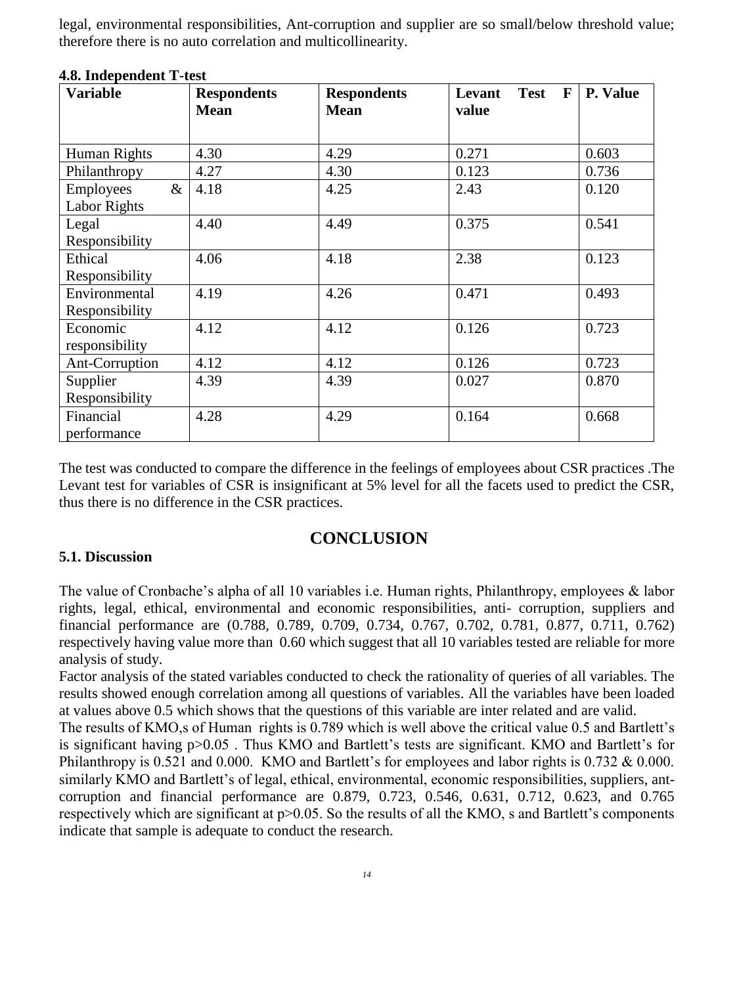legal, environmental responsibilities, Ant-corruption and supplier are so small/below threshold value; therefore there is no auto correlation and multicollinearity.

| 7.0. MUUJULIULIIL 1 -IUSL |                    |                    |                                       |                 |  |  |  |
|---------------------------|--------------------|--------------------|---------------------------------------|-----------------|--|--|--|
| <b>Variable</b>           | <b>Respondents</b> | <b>Respondents</b> | <b>Test</b><br>$\mathbf{F}$<br>Levant | <b>P. Value</b> |  |  |  |
|                           | <b>Mean</b>        | <b>Mean</b>        | value                                 |                 |  |  |  |
|                           |                    |                    |                                       |                 |  |  |  |
| Human Rights              | 4.30               | 4.29               | 0.271                                 | 0.603           |  |  |  |
| Philanthropy              | 4.27               | 4.30               | 0.123                                 | 0.736           |  |  |  |
| $\&$<br><b>Employees</b>  | 4.18               | 4.25               | 2.43                                  | 0.120           |  |  |  |
| <b>Labor Rights</b>       |                    |                    |                                       |                 |  |  |  |
| Legal                     | 4.40               | 4.49               | 0.375                                 | 0.541           |  |  |  |
| Responsibility            |                    |                    |                                       |                 |  |  |  |
| Ethical                   | 4.06               | 4.18               | 2.38                                  | 0.123           |  |  |  |
| Responsibility            |                    |                    |                                       |                 |  |  |  |
| Environmental             | 4.19               | 4.26               | 0.471                                 | 0.493           |  |  |  |
| Responsibility            |                    |                    |                                       |                 |  |  |  |
| Economic                  | 4.12               | 4.12               | 0.126                                 | 0.723           |  |  |  |
| responsibility            |                    |                    |                                       |                 |  |  |  |
| Ant-Corruption            | 4.12               | 4.12               | 0.126                                 | 0.723           |  |  |  |
| Supplier                  | 4.39               | 4.39               | 0.027                                 | 0.870           |  |  |  |
| Responsibility            |                    |                    |                                       |                 |  |  |  |
| Financial                 | 4.28               | 4.29               | 0.164                                 | 0.668           |  |  |  |
| performance               |                    |                    |                                       |                 |  |  |  |

### **4.8. Independent T-test**

The test was conducted to compare the difference in the feelings of employees about CSR practices .The Levant test for variables of CSR is insignificant at 5% level for all the facets used to predict the CSR, thus there is no difference in the CSR practices.

# **CONCLUSION**

### **5.1. Discussion**

The value of Cronbache's alpha of all 10 variables i.e. Human rights, Philanthropy, employees & labor rights, legal, ethical, environmental and economic responsibilities, anti- corruption, suppliers and financial performance are (0.788, 0.789, 0.709, 0.734, 0.767, 0.702, 0.781, 0.877, 0.711, 0.762) respectively having value more than 0.60 which suggest that all 10 variables tested are reliable for more analysis of study.

Factor analysis of the stated variables conducted to check the rationality of queries of all variables. The results showed enough correlation among all questions of variables. All the variables have been loaded at values above 0.5 which shows that the questions of this variable are inter related and are valid.

The results of KMO,s of Human rights is 0.789 which is well above the critical value 0.5 and Bartlett's is significant having p>0.05 . Thus KMO and Bartlett's tests are significant. KMO and Bartlett's for Philanthropy is 0.521 and 0.000. KMO and Bartlett's for employees and labor rights is 0.732 & 0.000. similarly KMO and Bartlett's of legal, ethical, environmental, economic responsibilities, suppliers, antcorruption and financial performance are 0.879, 0.723, 0.546, 0.631, 0.712, 0.623, and 0.765 respectively which are significant at p>0.05. So the results of all the KMO, s and Bartlett's components indicate that sample is adequate to conduct the research.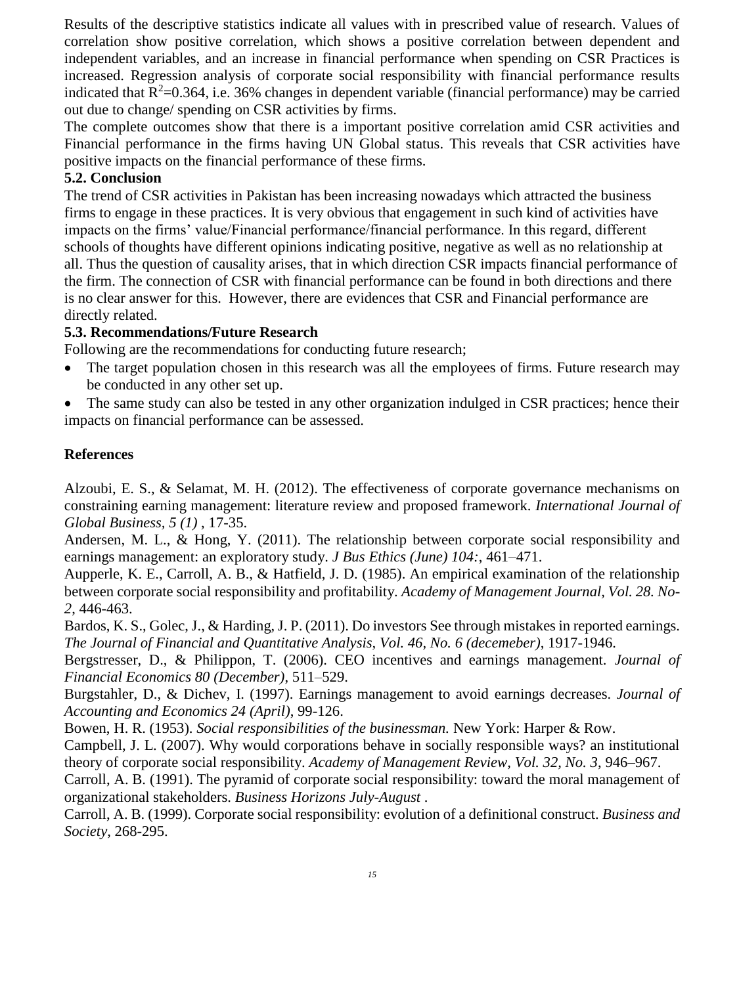Results of the descriptive statistics indicate all values with in prescribed value of research. Values of correlation show positive correlation, which shows a positive correlation between dependent and independent variables, and an increase in financial performance when spending on CSR Practices is increased. Regression analysis of corporate social responsibility with financial performance results indicated that  $R^2=0.364$ , i.e. 36% changes in dependent variable (financial performance) may be carried out due to change/ spending on CSR activities by firms.

The complete outcomes show that there is a important positive correlation amid CSR activities and Financial performance in the firms having UN Global status. This reveals that CSR activities have positive impacts on the financial performance of these firms.

# **5.2. Conclusion**

The trend of CSR activities in Pakistan has been increasing nowadays which attracted the business firms to engage in these practices. It is very obvious that engagement in such kind of activities have impacts on the firms' value/Financial performance/financial performance. In this regard, different schools of thoughts have different opinions indicating positive, negative as well as no relationship at all. Thus the question of causality arises, that in which direction CSR impacts financial performance of the firm. The connection of CSR with financial performance can be found in both directions and there is no clear answer for this. However, there are evidences that CSR and Financial performance are directly related.

# **5.3. Recommendations/Future Research**

Following are the recommendations for conducting future research;

• The target population chosen in this research was all the employees of firms. Future research may be conducted in any other set up.

• The same study can also be tested in any other organization indulged in CSR practices; hence their impacts on financial performance can be assessed.

# **References**

Alzoubi, E. S., & Selamat, M. H. (2012). The effectiveness of corporate governance mechanisms on constraining earning management: literature review and proposed framework. *International Journal of Global Business, 5 (1)* , 17-35.

Andersen, M. L., & Hong, Y. (2011). The relationship between corporate social responsibility and earnings management: an exploratory study. *J Bus Ethics (June) 104:*, 461–471.

Aupperle, K. E., Carroll, A. B., & Hatfield, J. D. (1985). An empirical examination of the relationship between corporate social responsibility and profitability. *Academy of Management Journal, Vol. 28. No-2*, 446-463.

Bardos, K. S., Golec, J., & Harding, J. P. (2011). Do investors See through mistakes in reported earnings. *The Journal of Financial and Quantitative Analysis, Vol. 46, No. 6 (decemeber)*, 1917-1946.

Bergstresser, D., & Philippon, T. (2006). CEO incentives and earnings management. *Journal of Financial Economics 80 (December)*, 511–529.

Burgstahler, D., & Dichev, I. (1997). Earnings management to avoid earnings decreases. *Journal of Accounting and Economics 24 (April)*, 99-126.

Bowen, H. R. (1953). *Social responsibilities of the businessman.* New York: Harper & Row.

Campbell, J. L. (2007). Why would corporations behave in socially responsible ways? an institutional theory of corporate social responsibility. *Academy of Management Review, Vol. 32, No. 3*, 946–967.

Carroll, A. B. (1991). The pyramid of corporate social responsibility: toward the moral management of organizational stakeholders. *Business Horizons July-August* .

Carroll, A. B. (1999). Corporate social responsibility: evolution of a definitional construct. *Business and Society*, 268-295.